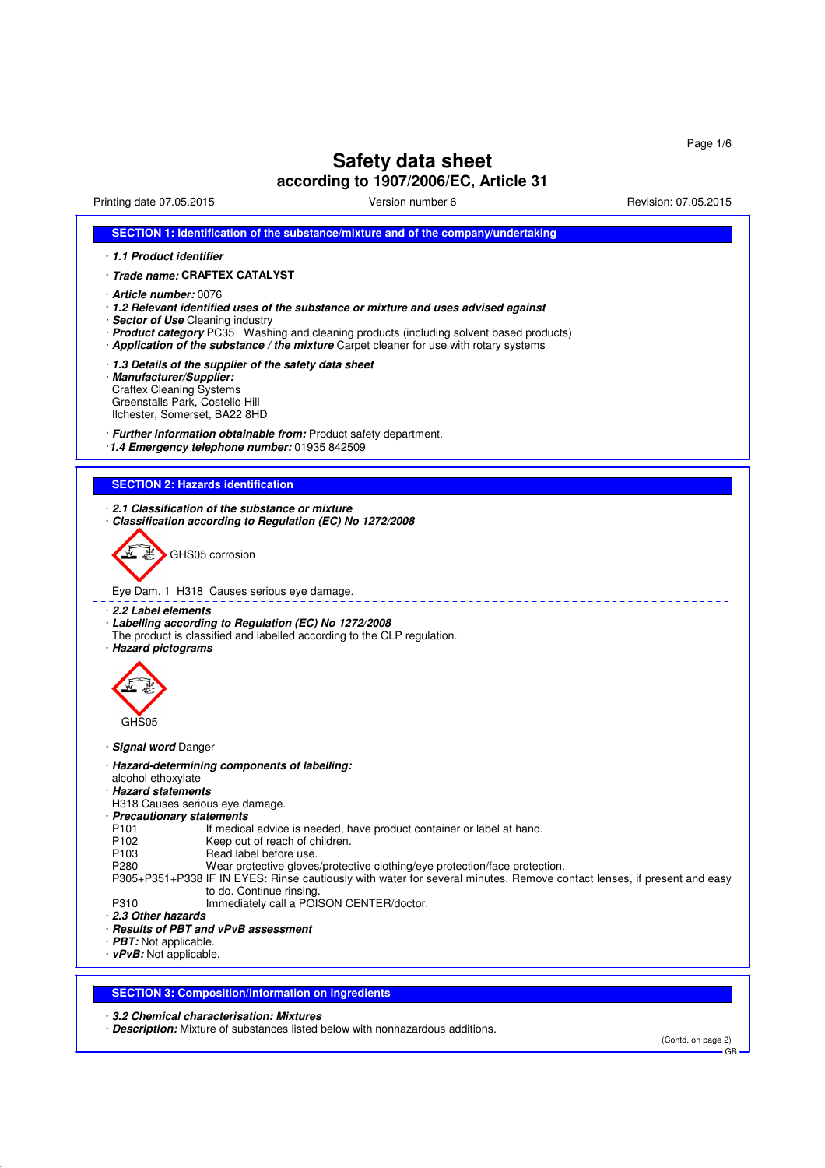# **Safety data sheet**

## **according to 1907/2006/EC, Article 31**

Printing date 07.05.2015 Version number 6 Revision: 07.05.2015

|                                                                                                                                 | SECTION 1: Identification of the substance/mixture and of the company/undertaking                                                                                                                                                                                                                                                                |  |  |
|---------------------------------------------------------------------------------------------------------------------------------|--------------------------------------------------------------------------------------------------------------------------------------------------------------------------------------------------------------------------------------------------------------------------------------------------------------------------------------------------|--|--|
| 1.1 Product identifier                                                                                                          |                                                                                                                                                                                                                                                                                                                                                  |  |  |
|                                                                                                                                 | · <i>Trade name:</i> CRAFTEX CATALYST                                                                                                                                                                                                                                                                                                            |  |  |
|                                                                                                                                 | · <b>Article number:</b> 0076<br>· 1.2 Relevant identified uses of the substance or mixture and uses advised against<br>· Sector of Use Cleaning industry<br>· Product category PC35 Washing and cleaning products (including solvent based products)<br>· Application of the substance / the mixture Carpet cleaner for use with rotary systems |  |  |
| · Manufacturer/Supplier:<br><b>Craftex Cleaning Systems</b><br>Greenstalls Park, Costello Hill<br>Ilchester, Somerset, BA22 8HD | 1.3 Details of the supplier of the safety data sheet                                                                                                                                                                                                                                                                                             |  |  |
|                                                                                                                                 | · Further information obtainable from: Product safety department.<br>1.4 Emergency telephone number: 01935 842509                                                                                                                                                                                                                                |  |  |
| <b>SECTION 2: Hazards identification</b>                                                                                        |                                                                                                                                                                                                                                                                                                                                                  |  |  |
|                                                                                                                                 | 2.1 Classification of the substance or mixture<br>· Classification according to Regulation (EC) No 1272/2008                                                                                                                                                                                                                                     |  |  |
|                                                                                                                                 | GHS05 corrosion<br>Eye Dam. 1 H318 Causes serious eye damage.                                                                                                                                                                                                                                                                                    |  |  |
| ⋅ 2.2 Label elements<br>· Hazard pictograms                                                                                     | · Labelling according to Regulation (EC) No 1272/2008<br>The product is classified and labelled according to the CLP regulation.                                                                                                                                                                                                                 |  |  |
| GHS05                                                                                                                           |                                                                                                                                                                                                                                                                                                                                                  |  |  |
| · Signal word Danger                                                                                                            |                                                                                                                                                                                                                                                                                                                                                  |  |  |
| alcohol ethoxylate<br>· Hazard statements<br>H318 Causes serious eye damage.<br>· Precautionary statements<br>P <sub>101</sub>  | · Hazard-determining components of labelling:<br>If medical advice is needed, have product container or label at hand.                                                                                                                                                                                                                           |  |  |
| P103<br>P280                                                                                                                    | Read label before use.<br>Wear protective gloves/protective clothing/eye protection/face protection.<br>P305+P351+P338 IF IN EYES: Rinse cautiously with water for several minutes. Remove contact lenses, if present and easy<br>to do. Continue rinsing.                                                                                       |  |  |
| P310<br>2.3 Other hazards<br>· PBT: Not applicable.                                                                             | Immediately call a POISON CENTER/doctor.<br>· Results of PBT and vPvB assessment                                                                                                                                                                                                                                                                 |  |  |
| P102<br>$\cdot$ vPvB: Not applicable.                                                                                           | Keep out of reach of children.<br><b>SECTION 3: Composition/information on ingredients</b>                                                                                                                                                                                                                                                       |  |  |

· **Description:** Mixture of substances listed below with nonhazardous additions.

(Contd. on page 2) GB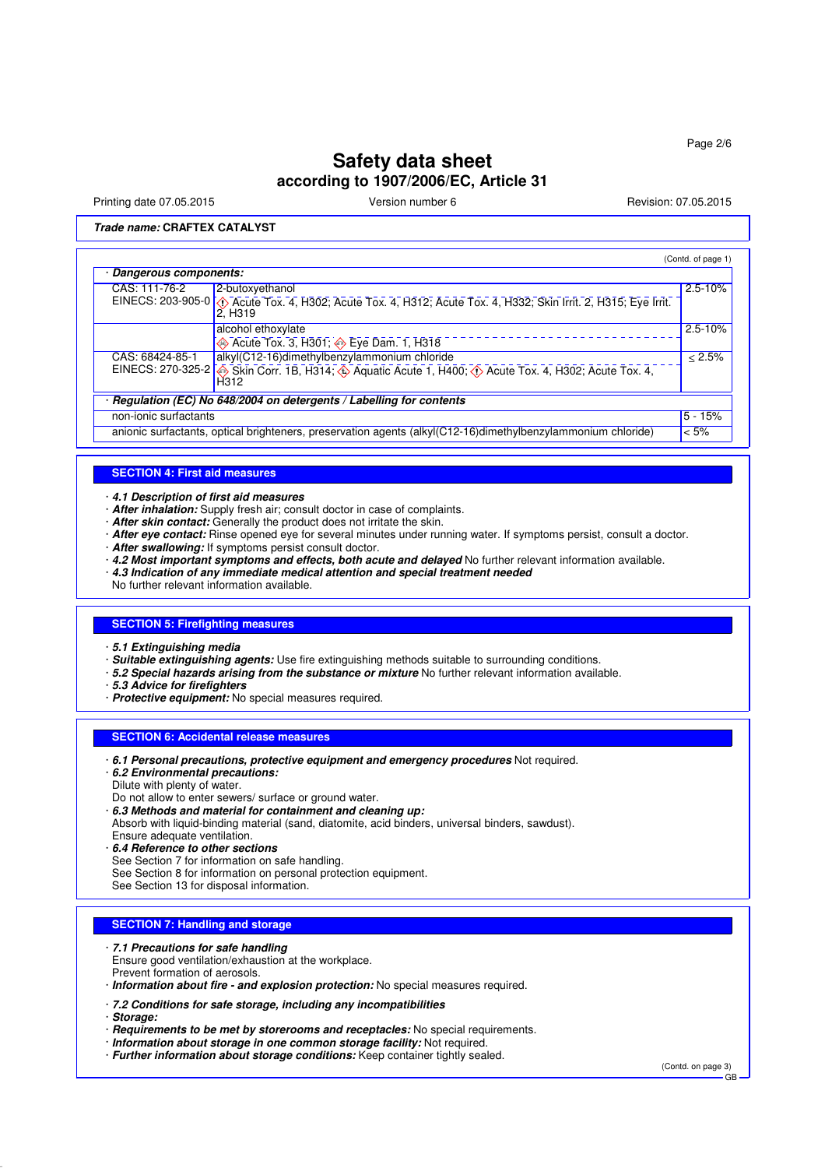Printing date 07.05.2015 **Principal and COVID-100** Version number 6 Revision: 07.05.2015

**Trade name: CRAFTEX CATALYST**

|                                                                                                              |                                                                                                                                                 | (Contd. of page 1) |  |  |
|--------------------------------------------------------------------------------------------------------------|-------------------------------------------------------------------------------------------------------------------------------------------------|--------------------|--|--|
| Dangerous components:                                                                                        |                                                                                                                                                 |                    |  |  |
| CAS: 111-76-2                                                                                                | 2-butoxyethanol                                                                                                                                 | $2.5 - 10%$        |  |  |
|                                                                                                              | EINECS: 203-905-0 (1) Acute Tox. 4, H302; Acute Tox. 4, H312; Acute Tox. 4, H332; Skin Irrit. 2, H315; Eye Irrit.<br>2, H319                    |                    |  |  |
|                                                                                                              | alcohol ethoxylate                                                                                                                              | $2.5 - 10%$        |  |  |
|                                                                                                              | $\overline{\diamond}$ Acute Tox. 3, H301; $\overline{\diamond}$ Eye Dam. 1, H318                                                                |                    |  |  |
| CAS: 68424-85-1                                                                                              | alkyl(C12-16)dimethylbenzylammonium chloride                                                                                                    | < 2.5%             |  |  |
|                                                                                                              | EINECS: 270-325-2 Skin Corr. 1B, H314; $\circledast$ Aquatic Acute 1, H400; $\circledast$ Acute Tox. 4, H302; Acute Tox. 4,<br>H <sub>312</sub> |                    |  |  |
|                                                                                                              | Regulation (EC) No 648/2004 on detergents / Labelling for contents                                                                              |                    |  |  |
| non-ionic surfactants                                                                                        |                                                                                                                                                 | $5 - 15%$          |  |  |
| anionic surfactants, optical brighteners, preservation agents (alkyl(C12-16)dimethylbenzylammonium chloride) |                                                                                                                                                 | $< 5\%$            |  |  |

#### **SECTION 4: First aid measures**

· **4.1 Description of first aid measures**

- · **After inhalation:** Supply fresh air; consult doctor in case of complaints.
- · **After skin contact:** Generally the product does not irritate the skin.
- · **After eye contact:** Rinse opened eye for several minutes under running water. If symptoms persist, consult a doctor.
- · **After swallowing:** If symptoms persist consult doctor.
- · **4.2 Most important symptoms and effects, both acute and delayed** No further relevant information available.
- · **4.3 Indication of any immediate medical attention and special treatment needed**

No further relevant information available.

#### **SECTION 5: Firefighting measures**

- · **5.1 Extinguishing media**
- · **Suitable extinguishing agents:** Use fire extinguishing methods suitable to surrounding conditions.
- · **5.2 Special hazards arising from the substance or mixture** No further relevant information available.
- · **5.3 Advice for firefighters**
- · **Protective equipment:** No special measures required.

#### **SECTION 6: Accidental release measures**

- · **6.1 Personal precautions, protective equipment and emergency procedures** Not required.
- · **6.2 Environmental precautions:** Dilute with plenty of water.
- Do not allow to enter sewers/ surface or ground water.
- · **6.3 Methods and material for containment and cleaning up:**
- Absorb with liquid-binding material (sand, diatomite, acid binders, universal binders, sawdust).
- Ensure adequate ventilation.
- · **6.4 Reference to other sections**
- See Section 7 for information on safe handling.
- See Section 8 for information on personal protection equipment.
- See Section 13 for disposal information.

#### **SECTION 7: Handling and storage**

- · **7.1 Precautions for safe handling**
- Ensure good ventilation/exhaustion at the workplace.
- Prevent formation of aerosols.
- · **Information about fire and explosion protection:** No special measures required.
- · **7.2 Conditions for safe storage, including any incompatibilities**
- · **Storage:**
- · **Requirements to be met by storerooms and receptacles:** No special requirements.
- · **Information about storage in one common storage facility:** Not required.
- · **Further information about storage conditions:** Keep container tightly sealed.

(Contd. on page 3) GB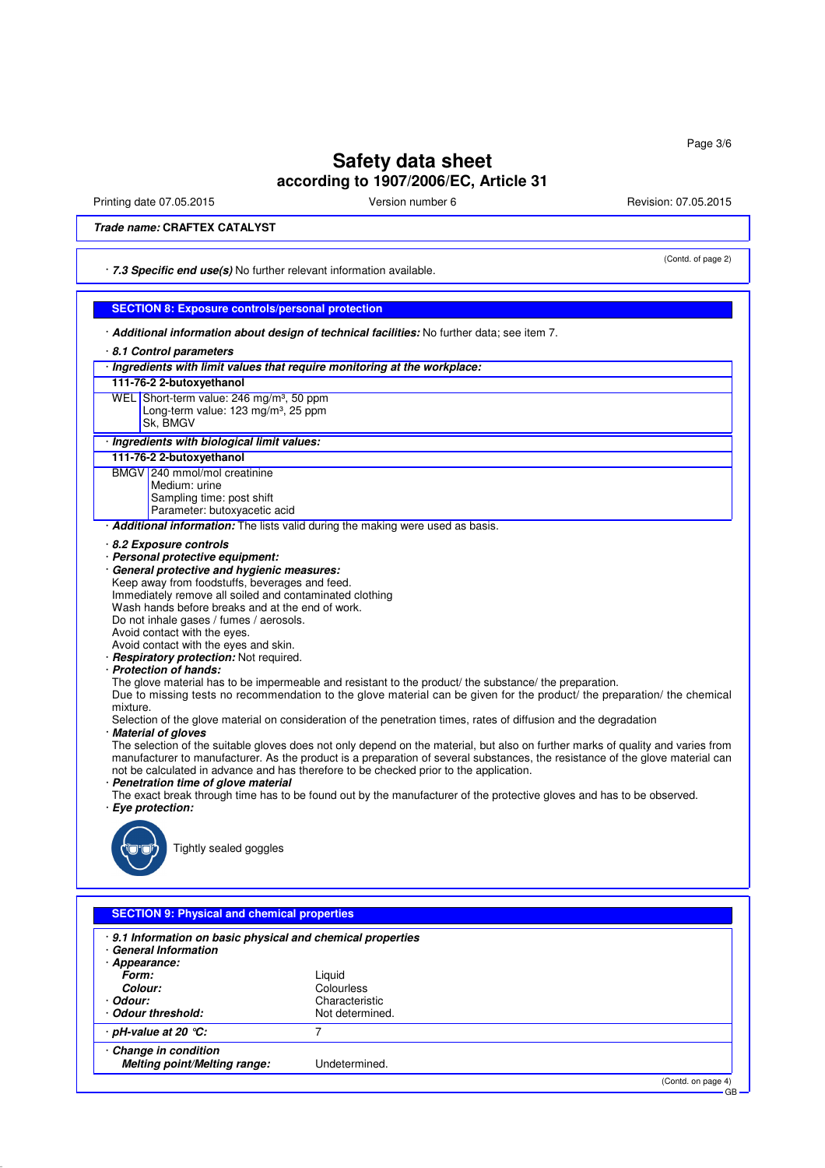Printing date 07.05.2015 **Version number 6** Nevision: 07.05.2015 **Revision: 07.05.2015** 

(Contd. of page 2)

**Trade name: CRAFTEX CATALYST**

· **7.3 Specific end use(s)** No further relevant information available.

### **SECTION 8: Exposure controls/personal protection**

- · **Additional information about design of technical facilities:** No further data; see item 7.
- · **8.1 Control parameters**

· **Change in condition**

· **pH-value at 20 °C:** 7

**Melting point/Melting range:** Undetermined.

|                                                                                                                                      | 8.1 Control parameters                                                                                                          |  |  |
|--------------------------------------------------------------------------------------------------------------------------------------|---------------------------------------------------------------------------------------------------------------------------------|--|--|
| · Ingredients with limit values that require monitoring at the workplace:                                                            |                                                                                                                                 |  |  |
| 111-76-2 2-butoxyethanol                                                                                                             |                                                                                                                                 |  |  |
| WEL Short-term value: 246 mg/m <sup>3</sup> , 50 ppm                                                                                 |                                                                                                                                 |  |  |
| Long-term value: $123 \text{ mg/m}^3$ , 25 ppm                                                                                       |                                                                                                                                 |  |  |
| Sk, BMGV                                                                                                                             |                                                                                                                                 |  |  |
| · Ingredients with biological limit values:                                                                                          |                                                                                                                                 |  |  |
| 111-76-2 2-butoxyethanol                                                                                                             |                                                                                                                                 |  |  |
| BMGV 240 mmol/mol creatinine                                                                                                         |                                                                                                                                 |  |  |
| Medium: urine                                                                                                                        |                                                                                                                                 |  |  |
| Sampling time: post shift                                                                                                            |                                                                                                                                 |  |  |
| Parameter: butoxyacetic acid                                                                                                         |                                                                                                                                 |  |  |
| Additional information: The lists valid during the making were used as basis.                                                        |                                                                                                                                 |  |  |
| 8.2 Exposure controls                                                                                                                |                                                                                                                                 |  |  |
| · Personal protective equipment:                                                                                                     |                                                                                                                                 |  |  |
| General protective and hygienic measures:                                                                                            |                                                                                                                                 |  |  |
| Keep away from foodstuffs, beverages and feed.                                                                                       |                                                                                                                                 |  |  |
| Immediately remove all soiled and contaminated clothing                                                                              |                                                                                                                                 |  |  |
| Wash hands before breaks and at the end of work.                                                                                     |                                                                                                                                 |  |  |
| Do not inhale gases / fumes / aerosols.                                                                                              |                                                                                                                                 |  |  |
| Avoid contact with the eyes.                                                                                                         |                                                                                                                                 |  |  |
| Avoid contact with the eyes and skin.                                                                                                |                                                                                                                                 |  |  |
| · Respiratory protection: Not required.                                                                                              |                                                                                                                                 |  |  |
| · Protection of hands:                                                                                                               |                                                                                                                                 |  |  |
|                                                                                                                                      | The glove material has to be impermeable and resistant to the product/ the substance/ the preparation.                          |  |  |
| Due to missing tests no recommendation to the glove material can be given for the product/ the preparation/ the chemical<br>mixture. |                                                                                                                                 |  |  |
|                                                                                                                                      | Selection of the glove material on consideration of the penetration times, rates of diffusion and the degradation               |  |  |
| <b>Material of gloves</b>                                                                                                            |                                                                                                                                 |  |  |
|                                                                                                                                      | The selection of the suitable gloves does not only depend on the material, but also on further marks of quality and varies from |  |  |
|                                                                                                                                      | manufacturer to manufacturer. As the product is a preparation of several substances, the resistance of the glove material can   |  |  |
|                                                                                                                                      | not be calculated in advance and has therefore to be checked prior to the application.                                          |  |  |
| · Penetration time of glove material                                                                                                 |                                                                                                                                 |  |  |
|                                                                                                                                      | The exact break through time has to be found out by the manufacturer of the protective gloves and has to be observed.           |  |  |
| · Eye protection:                                                                                                                    |                                                                                                                                 |  |  |
|                                                                                                                                      |                                                                                                                                 |  |  |
|                                                                                                                                      |                                                                                                                                 |  |  |
| Tightly sealed goggles                                                                                                               |                                                                                                                                 |  |  |
|                                                                                                                                      |                                                                                                                                 |  |  |
|                                                                                                                                      |                                                                                                                                 |  |  |
|                                                                                                                                      |                                                                                                                                 |  |  |
| <b>SECTION 9: Physical and chemical properties</b>                                                                                   |                                                                                                                                 |  |  |
| 9.1 Information on basic physical and chemical properties                                                                            |                                                                                                                                 |  |  |
| <b>General Information</b>                                                                                                           |                                                                                                                                 |  |  |
| · Appearance:                                                                                                                        |                                                                                                                                 |  |  |
| Form:                                                                                                                                | Liquid                                                                                                                          |  |  |
| Colour:                                                                                                                              | <b>Colourless</b>                                                                                                               |  |  |
| Odour:                                                                                                                               | Characteristic                                                                                                                  |  |  |
| <b>Odour threshold:</b>                                                                                                              | Not determined.                                                                                                                 |  |  |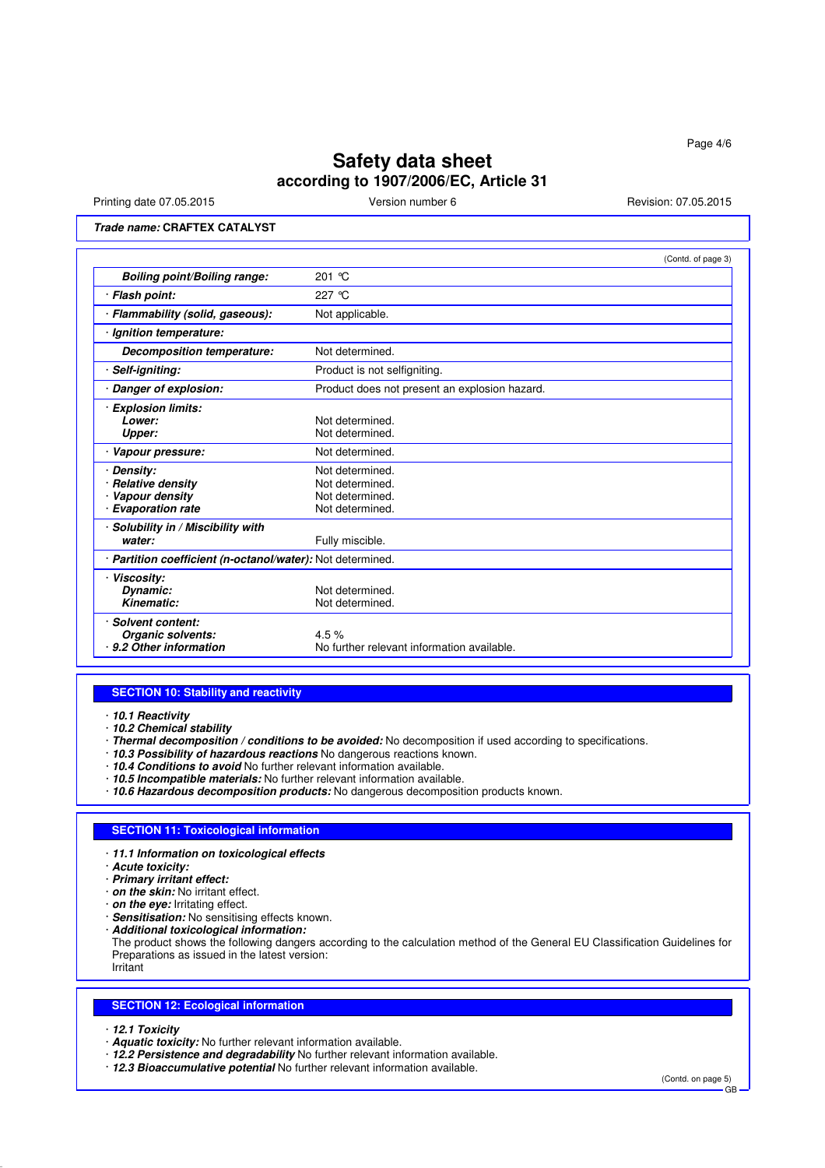Printing date 07.05.2015 **Version number 6** Revision: 07.05.2015 **Revision: 07.05.2015** 

### **Trade name: CRAFTEX CATALYST**

|                                                                                      | (Contd. of page 3)                                                       |
|--------------------------------------------------------------------------------------|--------------------------------------------------------------------------|
| Boiling point/Boiling range:                                                         | 201 °C                                                                   |
| · Flash point:                                                                       | 227 $\degree$ C                                                          |
| · Flammability (solid, gaseous):                                                     | Not applicable.                                                          |
| Ignition temperature:                                                                |                                                                          |
| <b>Decomposition temperature:</b>                                                    | Not determined.                                                          |
| Self-igniting:                                                                       | Product is not selfigniting.                                             |
| · Danger of explosion:                                                               | Product does not present an explosion hazard.                            |
| · Explosion limits:<br>Lower:<br>Upper:                                              | Not determined.<br>Not determined.                                       |
| · Vapour pressure:                                                                   | Not determined.                                                          |
| · Densitv:<br><b>Relative density</b><br>· Vapour density<br><b>Evaporation rate</b> | Not determined.<br>Not determined.<br>Not determined.<br>Not determined. |
| · Solubility in / Miscibility with<br>water:                                         | Fully miscible.                                                          |
| · Partition coefficient (n-octanol/water): Not determined.                           |                                                                          |
| · Viscosity:<br>Dynamic:<br>Kinematic:                                               | Not determined.<br>Not determined.                                       |
| <b>Solvent content:</b><br>Organic solvents:<br>9.2 Other information                | 4.5%<br>No further relevant information available.                       |

#### **SECTION 10: Stability and reactivity**

· **10.1 Reactivity**

- · **10.2 Chemical stability**
- · **Thermal decomposition / conditions to be avoided:** No decomposition if used according to specifications.
- · **10.3 Possibility of hazardous reactions** No dangerous reactions known.
- · **10.4 Conditions to avoid** No further relevant information available.
- · **10.5 Incompatible materials:** No further relevant information available.
- · **10.6 Hazardous decomposition products:** No dangerous decomposition products known.

#### **SECTION 11: Toxicological information**

- · **11.1 Information on toxicological effects**
- · **Acute toxicity:**
- · **Primary irritant effect:**
- · **on the skin:** No irritant effect.
- · **on the eye:** Irritating effect.
- · **Sensitisation:** No sensitising effects known.
- · **Additional toxicological information:**

The product shows the following dangers according to the calculation method of the General EU Classification Guidelines for Preparations as issued in the latest version:

Irritant

#### **SECTION 12: Ecological information**

· **12.1 Toxicity**

- · **Aquatic toxicity:** No further relevant information available.
- · **12.2 Persistence and degradability** No further relevant information available.
- · **12.3 Bioaccumulative potential** No further relevant information available.

(Contd. on page 5) GB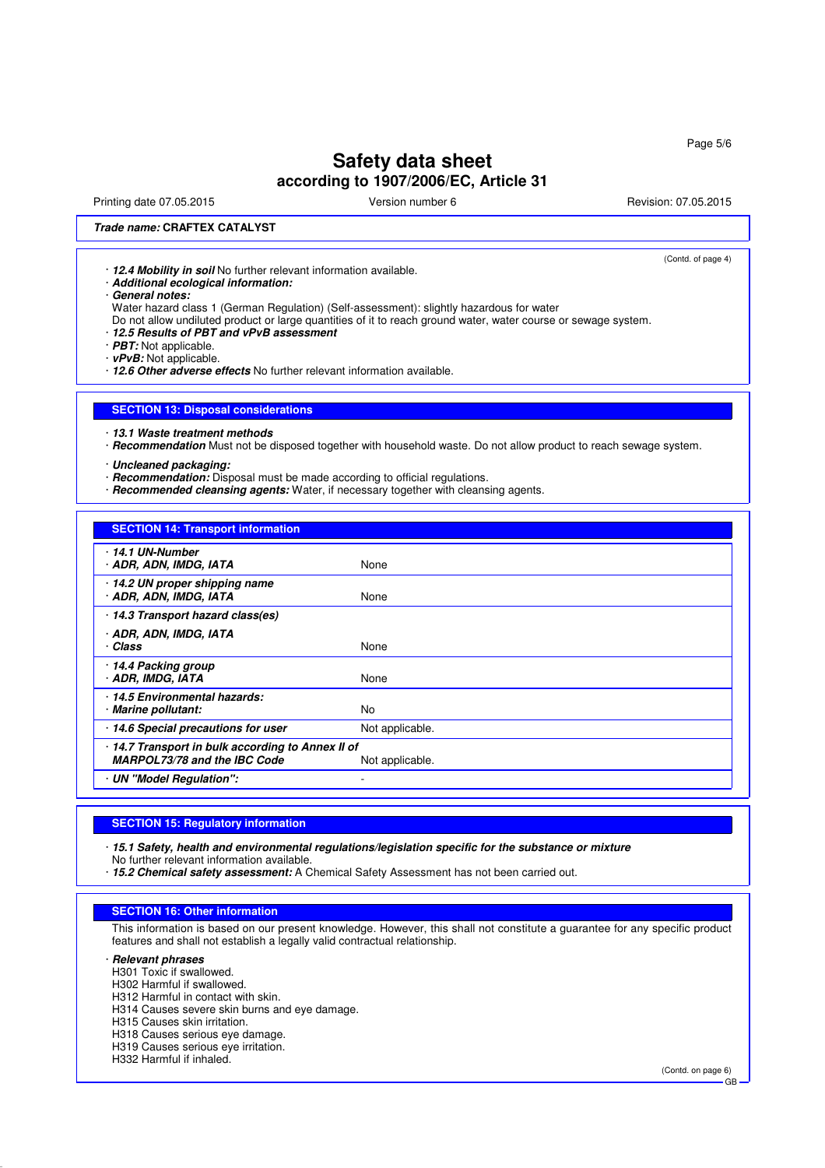Printing date 07.05.2015 **Principal and COVID-100** Version number 6 Revision: 07.05.2015

(Contd. of page 4)

### **Trade name: CRAFTEX CATALYST**

· **12.4 Mobility in soil** No further relevant information available.

· **Additional ecological information:**

· **General notes:**

Water hazard class 1 (German Regulation) (Self-assessment): slightly hazardous for water

Do not allow undiluted product or large quantities of it to reach ground water, water course or sewage system.

#### · **12.5 Results of PBT and vPvB assessment**

· **PBT:** Not applicable.

· **vPvB:** Not applicable.

· **12.6 Other adverse effects** No further relevant information available.

### **SECTION 13: Disposal considerations**

· **13.1 Waste treatment methods**

· **Recommendation** Must not be disposed together with household waste. Do not allow product to reach sewage system.

· **Uncleaned packaging:**

- · **Recommendation:** Disposal must be made according to official regulations.
- · **Recommended cleansing agents:** Water, if necessary together with cleansing agents.

### **SECTION 14: Transport information**

| None                                                               |
|--------------------------------------------------------------------|
| None                                                               |
|                                                                    |
| None                                                               |
|                                                                    |
| None                                                               |
| No                                                                 |
| Not applicable.                                                    |
| 14.7 Transport in bulk according to Annex II of<br>Not applicable. |
|                                                                    |
|                                                                    |

#### **SECTION 15: Regulatory information**

· **15.1 Safety, health and environmental regulations/legislation specific for the substance or mixture**

No further relevant information available.

· **15.2 Chemical safety assessment:** A Chemical Safety Assessment has not been carried out.

#### **SECTION 16: Other information**

This information is based on our present knowledge. However, this shall not constitute a guarantee for any specific product features and shall not establish a legally valid contractual relationship.

· **Relevant phrases**

- H301 Toxic if swallowed.
- H302 Harmful if swallowed.
- H312 Harmful in contact with skin.
- H314 Causes severe skin burns and eye damage.
- H315 Causes skin irritation.
- H318 Causes serious eye damage. H319 Causes serious eye irritation.
- H332 Harmful if inhaled.

(Contd. on page 6)

GB